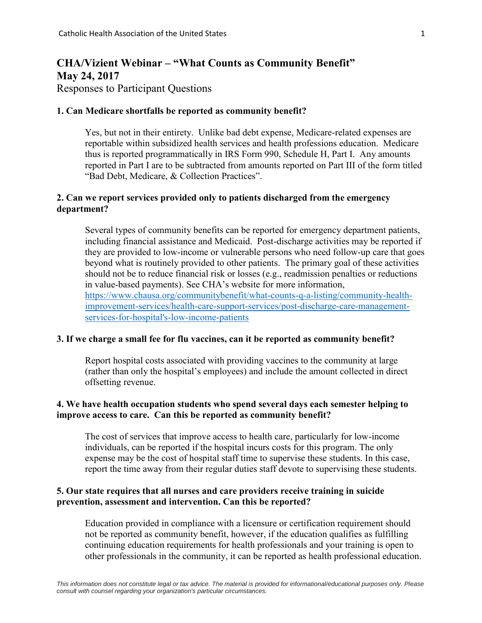# **CHA/Vizient Webinar – "What Counts as Community Benefit" May 24, 2017** Responses to Participant Questions

#### **1. Can Medicare shortfalls be reported as community benefit?**

Yes, but not in their entirety. Unlike bad debt expense, Medicare-related expenses are reportable within subsidized health services and health professions education. Medicare thus is reported programmatically in IRS Form 990, Schedule H, Part I. Any amounts reported in Part I are to be subtracted from amounts reported on Part III of the form titled "Bad Debt, Medicare, & Collection Practices".

### **2. Can we report services provided only to patients discharged from the emergency department?**

Several types of community benefits can be reported for emergency department patients, including financial assistance and Medicaid. Post-discharge activities may be reported if they are provided to low-income or vulnerable persons who need follow-up care that goes beyond what is routinely provided to other patients. The primary goal of these activities should not be to reduce financial risk or losses (e.g., readmission penalties or reductions in value-based payments). See CHA's website for more information, [https://www.chausa.org/communitybenefit/what-counts-q-a-listing/community-health](https://www.chausa.org/communitybenefit/what-counts-q-a-listing/community-health-improvement-services/health-care-support-services/post-discharge-care-management-services-for-hospital)[improvement-services/health-care-support-services/post-discharge-care-management](https://www.chausa.org/communitybenefit/what-counts-q-a-listing/community-health-improvement-services/health-care-support-services/post-discharge-care-management-services-for-hospital)[services-for-hospital's-low-income-patients](https://www.chausa.org/communitybenefit/what-counts-q-a-listing/community-health-improvement-services/health-care-support-services/post-discharge-care-management-services-for-hospital)

#### **3. If we charge a small fee for flu vaccines, can it be reported as community benefit?**

Report hospital costs associated with providing vaccines to the community at large (rather than only the hospital's employees) and include the amount collected in direct offsetting revenue.

# **4. We have health occupation students who spend several days each semester helping to improve access to care. Can this be reported as community benefit?**

The cost of services that improve access to health care, particularly for low-income individuals, can be reported if the hospital incurs costs for this program. The only expense may be the cost of hospital staff time to supervise these students. In this case, report the time away from their regular duties staff devote to supervising these students.

### **5. Our state requires that all nurses and care providers receive training in suicide prevention, assessment and intervention. Can this be reported?**

Education provided in compliance with a licensure or certification requirement should not be reported as community benefit, however, if the education qualifies as fulfilling continuing education requirements for health professionals and your training is open to other professionals in the community, it can be reported as health professional education.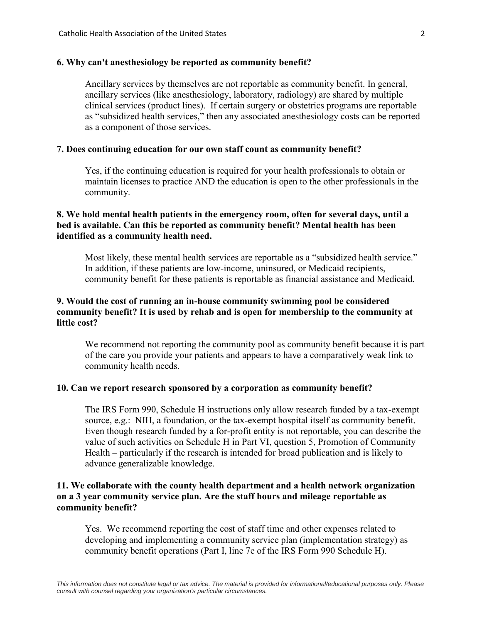#### **6. Why can't anesthesiology be reported as community benefit?**

Ancillary services by themselves are not reportable as community benefit. In general, ancillary services (like anesthesiology, laboratory, radiology) are shared by multiple clinical services (product lines). If certain surgery or obstetrics programs are reportable as "subsidized health services," then any associated anesthesiology costs can be reported as a component of those services.

#### **7. Does continuing education for our own staff count as community benefit?**

Yes, if the continuing education is required for your health professionals to obtain or maintain licenses to practice AND the education is open to the other professionals in the community.

# **8. We hold mental health patients in the emergency room, often for several days, until a bed is available. Can this be reported as community benefit? Mental health has been identified as a community health need.**

Most likely, these mental health services are reportable as a "subsidized health service." In addition, if these patients are low-income, uninsured, or Medicaid recipients, community benefit for these patients is reportable as financial assistance and Medicaid.

# **9. Would the cost of running an in-house community swimming pool be considered community benefit? It is used by rehab and is open for membership to the community at little cost?**

We recommend not reporting the community pool as community benefit because it is part of the care you provide your patients and appears to have a comparatively weak link to community health needs.

#### **10. Can we report research sponsored by a corporation as community benefit?**

The IRS Form 990, Schedule H instructions only allow research funded by a tax-exempt source, e.g.: NIH, a foundation, or the tax-exempt hospital itself as community benefit. Even though research funded by a for-profit entity is not reportable, you can describe the value of such activities on Schedule H in Part VI, question 5, Promotion of Community Health – particularly if the research is intended for broad publication and is likely to advance generalizable knowledge.

# **11. We collaborate with the county health department and a health network organization on a 3 year community service plan. Are the staff hours and mileage reportable as community benefit?**

Yes. We recommend reporting the cost of staff time and other expenses related to developing and implementing a community service plan (implementation strategy) as community benefit operations (Part I, line 7e of the IRS Form 990 Schedule H).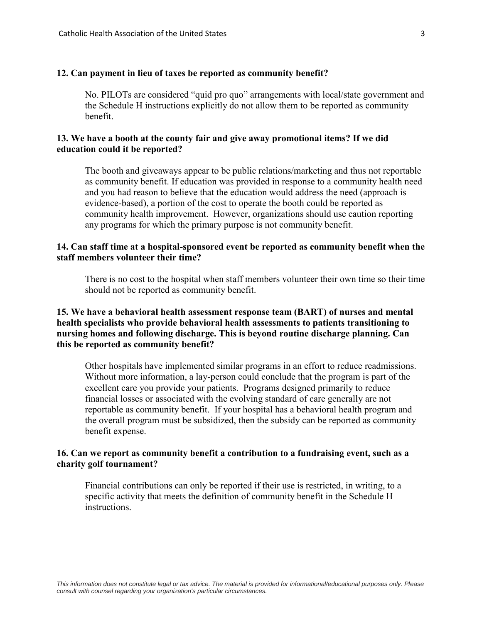#### **12. Can payment in lieu of taxes be reported as community benefit?**

No. PILOTs are considered "quid pro quo" arrangements with local/state government and the Schedule H instructions explicitly do not allow them to be reported as community benefit.

# **13. We have a booth at the county fair and give away promotional items? If we did education could it be reported?**

The booth and giveaways appear to be public relations/marketing and thus not reportable as community benefit. If education was provided in response to a community health need and you had reason to believe that the education would address the need (approach is evidence-based), a portion of the cost to operate the booth could be reported as community health improvement. However, organizations should use caution reporting any programs for which the primary purpose is not community benefit.

# **14. Can staff time at a hospital-sponsored event be reported as community benefit when the staff members volunteer their time?**

There is no cost to the hospital when staff members volunteer their own time so their time should not be reported as community benefit.

# **15. We have a behavioral health assessment response team (BART) of nurses and mental health specialists who provide behavioral health assessments to patients transitioning to nursing homes and following discharge. This is beyond routine discharge planning. Can this be reported as community benefit?**

Other hospitals have implemented similar programs in an effort to reduce readmissions. Without more information, a lay-person could conclude that the program is part of the excellent care you provide your patients. Programs designed primarily to reduce financial losses or associated with the evolving standard of care generally are not reportable as community benefit. If your hospital has a behavioral health program and the overall program must be subsidized, then the subsidy can be reported as community benefit expense.

### **16. Can we report as community benefit a contribution to a fundraising event, such as a charity golf tournament?**

Financial contributions can only be reported if their use is restricted, in writing, to a specific activity that meets the definition of community benefit in the Schedule H instructions.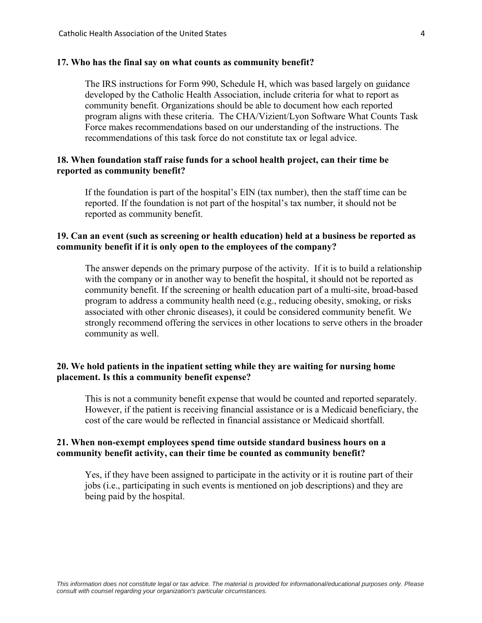#### **17. Who has the final say on what counts as community benefit?**

The IRS instructions for Form 990, Schedule H, which was based largely on guidance developed by the Catholic Health Association, include criteria for what to report as community benefit. Organizations should be able to document how each reported program aligns with these criteria. The CHA/Vizient/Lyon Software What Counts Task Force makes recommendations based on our understanding of the instructions. The recommendations of this task force do not constitute tax or legal advice.

### **18. When foundation staff raise funds for a school health project, can their time be reported as community benefit?**

If the foundation is part of the hospital's EIN (tax number), then the staff time can be reported. If the foundation is not part of the hospital's tax number, it should not be reported as community benefit.

# **19. Can an event (such as screening or health education) held at a business be reported as community benefit if it is only open to the employees of the company?**

The answer depends on the primary purpose of the activity. If it is to build a relationship with the company or in another way to benefit the hospital, it should not be reported as community benefit. If the screening or health education part of a multi-site, broad-based program to address a community health need (e.g., reducing obesity, smoking, or risks associated with other chronic diseases), it could be considered community benefit. We strongly recommend offering the services in other locations to serve others in the broader community as well.

### **20. We hold patients in the inpatient setting while they are waiting for nursing home placement. Is this a community benefit expense?**

This is not a community benefit expense that would be counted and reported separately. However, if the patient is receiving financial assistance or is a Medicaid beneficiary, the cost of the care would be reflected in financial assistance or Medicaid shortfall.

### **21. When non-exempt employees spend time outside standard business hours on a community benefit activity, can their time be counted as community benefit?**

Yes, if they have been assigned to participate in the activity or it is routine part of their jobs (i.e., participating in such events is mentioned on job descriptions) and they are being paid by the hospital.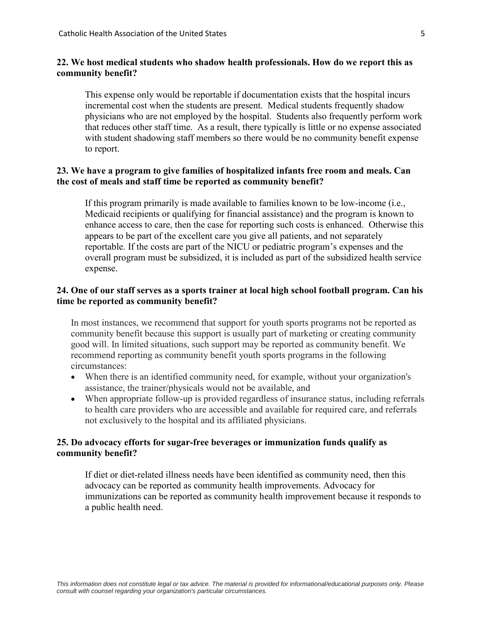### **22. We host medical students who shadow health professionals. How do we report this as community benefit?**

This expense only would be reportable if documentation exists that the hospital incurs incremental cost when the students are present. Medical students frequently shadow physicians who are not employed by the hospital. Students also frequently perform work that reduces other staff time. As a result, there typically is little or no expense associated with student shadowing staff members so there would be no community benefit expense to report.

### **23. We have a program to give families of hospitalized infants free room and meals. Can the cost of meals and staff time be reported as community benefit?**

If this program primarily is made available to families known to be low-income (i.e., Medicaid recipients or qualifying for financial assistance) and the program is known to enhance access to care, then the case for reporting such costs is enhanced. Otherwise this appears to be part of the excellent care you give all patients, and not separately reportable. If the costs are part of the NICU or pediatric program's expenses and the overall program must be subsidized, it is included as part of the subsidized health service expense.

# **24. One of our staff serves as a sports trainer at local high school football program. Can his time be reported as community benefit?**

In most instances, we recommend that support for youth sports programs not be reported as community benefit because this support is usually part of marketing or creating community good will. In limited situations, such support may be reported as community benefit. We recommend reporting as community benefit youth sports programs in the following circumstances:

- When there is an identified community need, for example, without your organization's assistance, the trainer/physicals would not be available, and
- When appropriate follow-up is provided regardless of insurance status, including referrals to health care providers who are accessible and available for required care, and referrals not exclusively to the hospital and its affiliated physicians.

### **25. Do advocacy efforts for sugar-free beverages or immunization funds qualify as community benefit?**

If diet or diet-related illness needs have been identified as community need, then this advocacy can be reported as community health improvements. Advocacy for immunizations can be reported as community health improvement because it responds to a public health need.